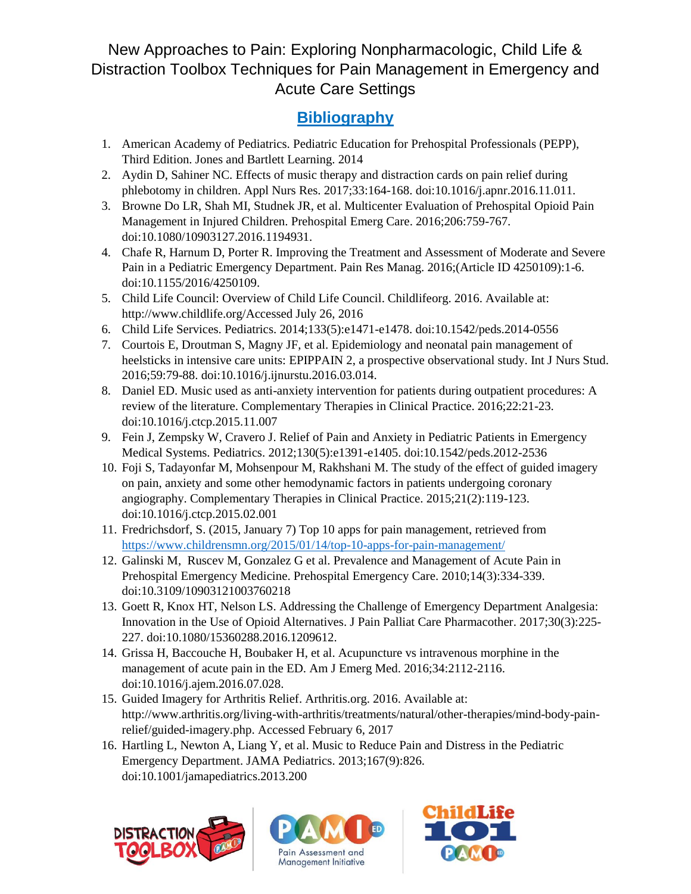## New Approaches to Pain: Exploring Nonpharmacologic, Child Life & Distraction Toolbox Techniques for Pain Management in Emergency and Acute Care Settings

## **Bibliography**

- 1. American Academy of Pediatrics. Pediatric Education for Prehospital Professionals (PEPP), Third Edition. Jones and Bartlett Learning. 2014
- 2. Aydin D, Sahiner NC. Effects of music therapy and distraction cards on pain relief during phlebotomy in children. Appl Nurs Res. 2017;33:164-168. doi:10.1016/j.apnr.2016.11.011.
- 3. Browne Do LR, Shah MI, Studnek JR, et al. Multicenter Evaluation of Prehospital Opioid Pain Management in Injured Children. Prehospital Emerg Care. 2016;206:759-767. doi:10.1080/10903127.2016.1194931.
- 4. Chafe R, Harnum D, Porter R. Improving the Treatment and Assessment of Moderate and Severe Pain in a Pediatric Emergency Department. Pain Res Manag. 2016;(Article ID 4250109):1-6. doi:10.1155/2016/4250109.
- 5. Child Life Council: Overview of Child Life Council. Childlifeorg. 2016. Available at: http://www.childlife.org/Accessed July 26, 2016
- 6. Child Life Services. Pediatrics. 2014;133(5):e1471-e1478. doi:10.1542/peds.2014-0556
- 7. Courtois E, Droutman S, Magny JF, et al. Epidemiology and neonatal pain management of heelsticks in intensive care units: EPIPPAIN 2, a prospective observational study. Int J Nurs Stud. 2016;59:79-88. doi:10.1016/j.ijnurstu.2016.03.014.
- 8. Daniel ED. Music used as anti-anxiety intervention for patients during outpatient procedures: A review of the literature. Complementary Therapies in Clinical Practice. 2016;22:21-23. doi:10.1016/j.ctcp.2015.11.007
- 9. Fein J, Zempsky W, Cravero J. Relief of Pain and Anxiety in Pediatric Patients in Emergency Medical Systems. Pediatrics. 2012;130(5):e1391-e1405. doi:10.1542/peds.2012-2536
- 10. Foji S, Tadayonfar M, Mohsenpour M, Rakhshani M. The study of the effect of guided imagery on pain, anxiety and some other hemodynamic factors in patients undergoing coronary angiography. Complementary Therapies in Clinical Practice. 2015;21(2):119-123. doi:10.1016/j.ctcp.2015.02.001
- 11. Fredrichsdorf, S. (2015, January 7) Top 10 apps for pain management, retrieved from <https://www.childrensmn.org/2015/01/14/top-10-apps-for-pain-management/>
- 12. Galinski M, Ruscev M, Gonzalez G et al. Prevalence and Management of Acute Pain in Prehospital Emergency Medicine. Prehospital Emergency Care. 2010;14(3):334-339. doi:10.3109/10903121003760218
- 13. Goett R, Knox HT, Nelson LS. Addressing the Challenge of Emergency Department Analgesia: Innovation in the Use of Opioid Alternatives. J Pain Palliat Care Pharmacother. 2017;30(3):225- 227. doi:10.1080/15360288.2016.1209612.
- 14. Grissa H, Baccouche H, Boubaker H, et al. Acupuncture vs intravenous morphine in the management of acute pain in the ED. Am J Emerg Med. 2016;34:2112-2116. doi:10.1016/j.ajem.2016.07.028.
- 15. Guided Imagery for Arthritis Relief. Arthritis.org. 2016. Available at: http://www.arthritis.org/living-with-arthritis/treatments/natural/other-therapies/mind-body-painrelief/guided-imagery.php. Accessed February 6, 2017
- 16. Hartling L, Newton A, Liang Y, et al. Music to Reduce Pain and Distress in the Pediatric Emergency Department. JAMA Pediatrics. 2013;167(9):826. doi:10.1001/jamapediatrics.2013.200